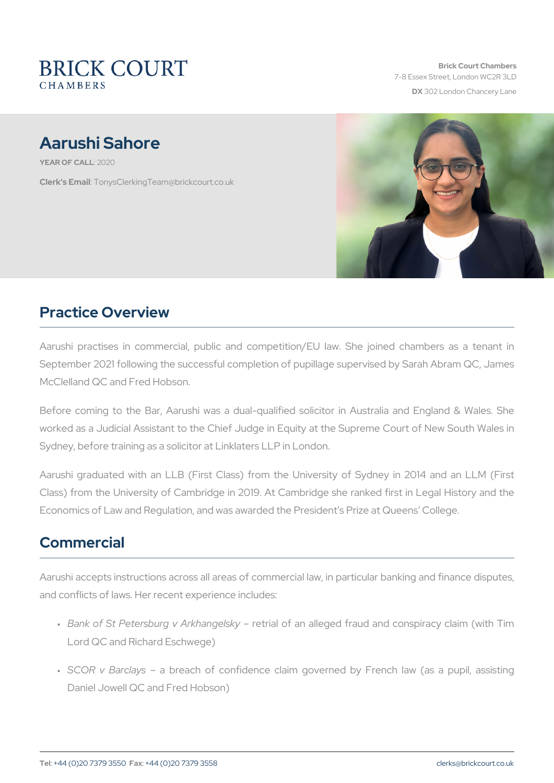Brick Court Chambers 7-8 Essex Street, London WC2 DX 302 London Chancery La

# Aarushi Sahore

YEAR OF CA210120

Clerk's EmanysClerkingTeam@brickcourt.co.uk

### Practice Overview

Aarushi practises in commercial, public and competition/EU law. September 2021 following the successful completion of pupillage super McClelland QC and Fred Hobson.

Before coming to the Bar, Aarushi was a dual-qualified solicitor in worked as a Judicial Assistant to the Chief Judge in Equity at the Su Sydney, before training as a solicitor at Linklaters LLP in London.

Aarushi graduated with an LLB (First Class) from the University o Class) from the University of Cambridge in 2019. At Cambridge she Economics of Law and Regulation, and was awarded the President s Pi

## Commercial

Aarushi accepts instructions across all areas of commercial law, in particular banking and finance disputes, and finance disputes, and finance disputes, and finance disputes, and finance disputes, and finance disputes, and and conflicts of laws. Her recent experience includes:

- " Bank of St Petersburg v Aerkhiahgcefisakny alleged fraud and conspiration Lord QC and Richard Eschwege)
- " SCOR v Barc $a$  by both of confidence claim governed by French Daniel Jowell QC and Fred Hobson)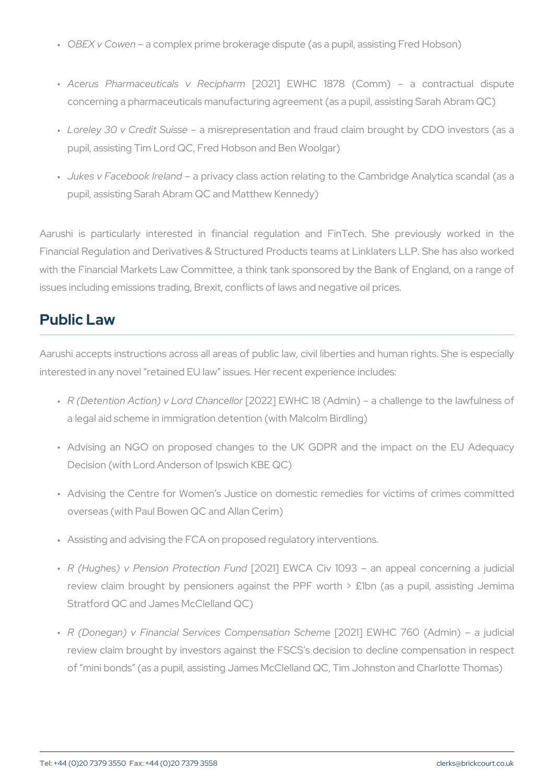" OBEX v Cowae aomplex prime brokerage dispute (as a pupil, assistir

- " Acerus Pharmaceuticals [2\021R] ecEpWhle Cm 1878 (Comm) a co concerning a pharmaceuticals manufacturing agreement (as a pupi
- " Loreley 30 v Credia Shuissepresentation and fraud claim brought b pupil, assisting Tim Lord QC, Fred Hobson and Ben Woolgar)
- " Jukes v Facebookalmerliavmadcy class action relating to the Cambridge pupil, assisting Sarah Abram QC and Matthew Kennedy)

Aarushi is particularly interested in financial regulation and Fi Financial Regulation and Derivatives & Structured Products teams at with the Financial Markets Law Committee, a think tank sponsored by issues including emissions trading, Brexit, conflicts of laws and negat

#### Public Law

Aarushi accepts instructions across all areas of public law, civil libe interested in any novel retained EU law issues. Her recent experience

- " R (Detention Action) v L[o2ro12 2C]h  $EW$ chellor 8 (Admin) a challenge to a legal aid scheme in immigration detention (with Malcolm Birdling)
- " Advising an NGO on proposed changes to the UK GDPR and th Decision (with Lord Anderson of Ipswich KBE QC)
- " Advising the Centre for Women s Justice on domestic remedies overseas (with Paul Bowen QC and Allan Cerim)
- " Assisting and advising the FCA on proposed regulatory interventio
- " R (Hughes) v Pension P[r2o0t2ê tto jio EnW EuAnd Civ 1093 an appeal con review claim brought by pensioners against the PPF worth  $>$  £ Stratford QC and James McClelland QC)
- "R (Donegan) v Financial Services [22:01121] plenEsMuHcOn 7S6cOne(mAedmin) review claim brought by investors against the FSCS s decision to of mini bonds (as a pupil, assisting James McClelland QC, Tim J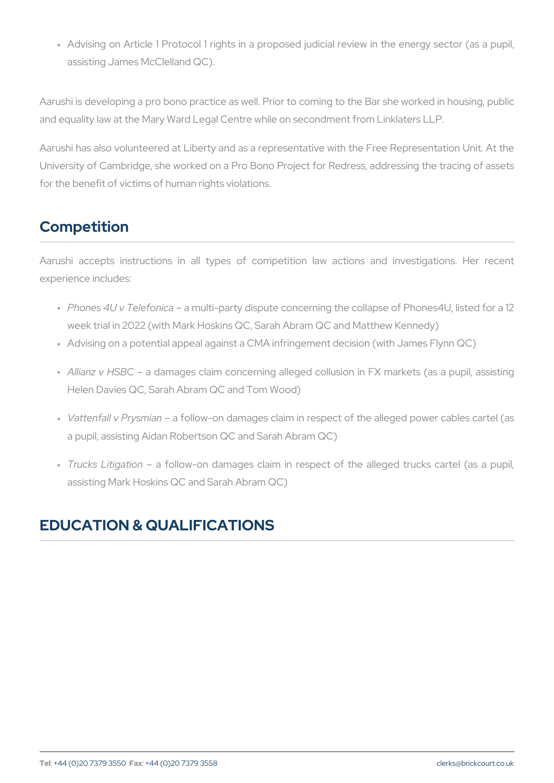" Advising on Article 1 Protocol 1 rights in a proposed judicial rev assisting James McClelland QC).

Aarushi is developing a pro bono practice as well. Prior to coming to and equality law at the Mary Ward Legal Centre while on secondment f

Aarushi has also volunteered at Liberty and as a representative with University of Cambridge, she worked on a Pro Bono Project for Redre for the benefit of victims of human rights violations.

## Competition

Aarushi accepts instructions in all types of competition law actions experience includes:

- " Phones 4U v Telafomuicta party dispute concerning the collapse of F week trial in 2022 (with Mark Hoskins QC, Sarah Abram QC and Ma
- " Advising on a potential appeal against a CMA infringement decisio
- " Allianz v H & BoCamages claim concerning alleged collusion in FX m Helen Davies QC, Sarah Abram QC and Tom Wood)
- " Vattenfall v Pryas froild ow-on damages claim in respect of the allege a pupil, assisting Aidan Robertson QC and Sarah Abram QC)
- " Trucks Litigaation Ilow-on damages claim in respect of the allege assisting Mark Hoskins QC and Sarah Abram QC)

## EDUCATION & QUALIFICATIONS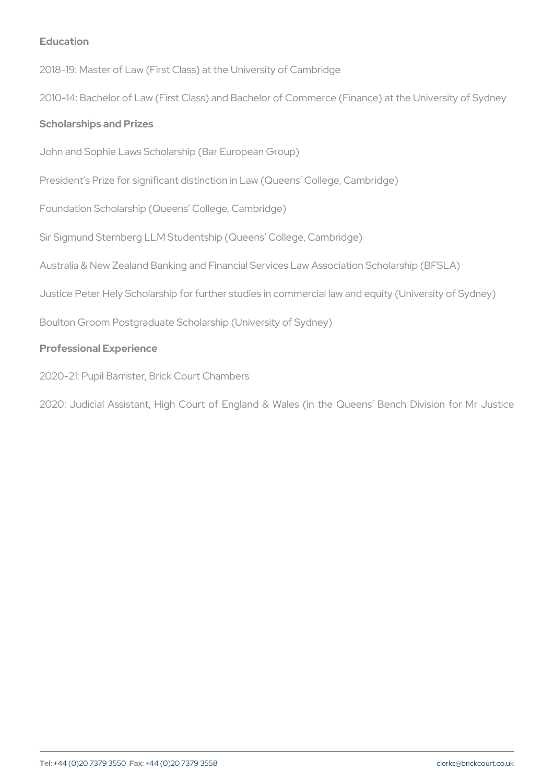Education

2018-19: Master of Law (First Class) at the University of Cambridge 2010-14: Bachelor of Law (First Class) and Bachelor of Commerce (Fir Scholarships and Prizes

John and Sophie Laws Scholarship (Bar European Group)

President s Prize for significant distinction in Law (Queens College, Foundation Scholarship (Queens College, Cambridge)

Sir Sigmund Sternberg LLM Studentship (Queens College, Cambridge) Australia & New Zealand Banking and Financial Services Law Associat Justice Peter Hely Scholarship for further studies in commercial law a Boulton Groom Postgraduate Scholarship (University of Sydney) Professional Experience

2020-21: Pupil Barrister, Brick Court Chambers

2020: Judicial Assistant, High Court of England & Wales (in the Q